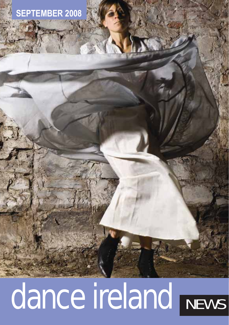# **MBER 2008**

# dance ireland NEWS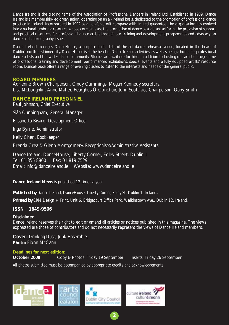Dance Ireland is the trading name of the Association of Professional Dancers in Ireland Ltd. Established in 1989, Dance Ireland is a membership-led organisation, operating on an all-Ireland basis, dedicated to the promotion of professional dance practice in Ireland. Incorporated in 1992 as a not-for-profit company with limited guarantee, the organisation has evolved into a national, umbrella resource whose core aims are the promotion of dance as a vibrant artform, the provision of support and practical resources for professional dance artists through our training and development programmes and advocacy on dance and choreography issues.

Dance Ireland manages DanceHouse, a purpose-built, state-of-the-art dance rehearsal venue, located in the heart of Dublin's north-east inner city. DanceHouse is at the heart of Dance Ireland activities, as well as being a home for professional dance artists and the wider dance community. Studios are available for hire. In addition to hosting our artistic programme of professional training and development, performances, exhibitions, special events and a fully equipped artists' resource room, DanceHouse offers a range of evening classes to cater to the interests and needs of the general public.

#### **BOARD MEMBERS**

Adrienne Brown *Chairperson*, Cindy Cummings, Megan Kennedy *secretary*, Lisa McLoughlin, Anne Maher, Fearghus Ó Conchúir, John Scott *vice Chairperson*, Gaby Smith

#### **DANCE IRELAND PERSONNEL**

Paul Johnson, *Chief Executive*

Siân Cunningham, *General Manager* 

Elisabetta Bisaro, *Development Officer*

Inga Byrne, *Administrator* 

Kelly Chen, *Bookkeeper* 

Brenda Crea & Glenn Montgomery, *Receptionists/Administrative Assistants* 

Dance Ireland, DanceHouse, Liberty Corner, Foley Street, Dublin 1. Tel: 01 855 8800 Fax: 01 819 7529 Email: info@danceireland.ie Website: www.danceireland.ie

#### **Dance Ireland News** is published 12 times a year

*Published by Dance Ireland, DanceHouse, Liberty Corner, Foley St, Dublin 1, Ireland.*

*Printed by CRM Design + Print, Unit 6, Bridgecourt Office Park, Walkinstown Ave., Dublin 12, Ireland.*

#### **ISSN 1649-9506**

#### **Disclaimer**

Dance Ireland reserves the right to edit or amend all articles or notices published in this magazine. The views expressed are those of contributors and do not necessarily represent the views of Dance Ireland members.

**2**

**Cover:** *Drinking Dust,* Junk Ensemble. **Photo:** Fionn McCann

#### **Deadlines for next edition:**

**October 2008** Copy & Photos: Friday 19 September Inserts: Friday 26 September

*All photos submitted must be accompanied by appropriate credits and acknowledgements*

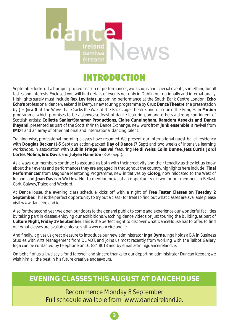

# INTRODUCTION

September kicks off a bumper-packed season of performances, workshops and special events; something for all tastes and interests. Enclosed you will find details of events not only in Dublin but nationally and internationally. Highlights surely must include **Rex Levitates** upcoming performance at the South Bank Centre London; **Echo Echo's** professional dance weekend in Derry, a new touring programme by **Crux Dance Theatre**, the presentation by **) + (= a 0** of *The Wave That Cracks the Wax* at the Backstage Theatre, and of course the Fringe's *In Motion* programme, which promises to be a showcase feast of dance featuring, among others a strong contingent of Scottish artists: **Collette Sadler/Stammer Productions, Claire Cunningham, Ramdom Aspekts and Dance Ihayami,** presented as part of the Scottish/Irish Dance Exchange, new work from **junk ensemble**, a revival from **IMDT** and an array of other national and international dancing talent.

Training wise, professional morning classes have resumed. We present our international guest ballet residency with **Douglas Becker** (1-5 Sept); an action-packed **Day of Dance** (7 Sept) and two weeks of intensive learning workshops, in association with **Dublin Fringe Festival**, featuring **Heidi Weiss**, **Colin Dunne, Jess Curtis**, **Jordi Cortés Molina, Eric Davis** and **Julyen Hamilton** (8-20 Sept).

As always, our members continue to astound us both with their creativity and their tenacity as they let us know about their events and performances they are engaged in throughout the country, highlights here include **'Final Performances'** from Daghdha Mentoring Programme, new initiatives by **Ciotóg,** now relocated to the West of Ireland, and **Joan Davis** in Wicklow. Not to mention news of an opportunity or two for our members in Belfast, Cork, Galway, Tralee and Wexford.

At DanceHouse, the evening class schedule kicks off with a night of **Free Taster Classes on Tuesday 2 September.** This is the perfect opportunity to try out a class - for free! To find out what classes are available please visit www.danceireland.ie.

Also for the second year, we open our doors to the general public to come and experience our wonderful facilities by taking part in classes, enjoying our exhibitions, watching dance videos or just touring the building, as part of **Culture Night, Friday 19 September**. This is the perfect night to discover what DanceHouse has to offer. To find out what classes are available please visit www.danceireland.ie.

And finally, it gives us great pleasure to introduce our new administrator **Inga Byrne**. Inga holds a B.A in Business Studies with Arts Management from DLIADT, and joins us most recently from working with the Talbot Gallery. Inga can be contacted by telephone on 01 884 8013 and by email admin@danceireland.ie.

On behalf of us all, we say a fond farewell and sincere thanks to our departing administrator Duncan Keegan; we wish him all the best in his future creative endeavours.

## **EVENING CLASSES THIS AUGUST AT DANCEHOUSE**

Recommence Monday 8 September Full schedule available from www.danceireland.ie.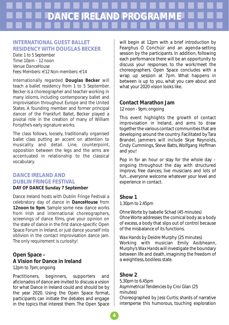# **DANCE IRELAND PROGRAMM**

#### **INTERNATIONAL GUEST BALLET RESIDENCY WITH DOUGLAS BECKER**

*Date: 1 to 5 September Time: 10am – 12 noon Venue: DanceHouse Fees: Members: €12 Non-members: €14* 

Internationally regarded **Douglas Becker** will teach a ballet residency from 1 to 5 September. Becker is a choreographer and teacher working in many idioms, including contemporary ballet and improvisation throughout Europe and the United States. A founding member and former principal dancer of the Frankfurt Ballet, Becker played a pivotal role in the creation of many of William Forsythe's early signature works.

The class follows, loosely, traditionally organised ballet class putting an accent on attention to musicality and detail. Line, counterpoint, opposition between the legs and the arms are accentuated in relationship to the classical vocabulary.

#### **DANCE IRELAND AND DUBLIN FRINGE FESTIVAL DAY OF DANCE Sunday 7 September**

Dance Ireland hosts with Dublin Fringe Festival a celebratory day of dance in **DanceHouse** from **12noon to 9pm**. Sample some new dance works from Irish and international choreographers, screenings of dance films, give your opinion on the state of dance in the first dance-specific Open Space Forum in Ireland, or just dance yourself into oblivion in the contact improvisation dance jam. The only requirement is curiosity!

#### **Open Space – A Vision for Dance in Ireland**

*12pm to 7pm; ongoing* 

Practitioners, beginners, supporters and aficionados of dance are invited to discuss a vision for what Dance in Ireland could and should be by the year 2020. Using the Open Space format, participants can initiate the debates and engage in the topics that interest them. The Open Space

will begin at 12pm with a brief introduction by Fearghus Ó Conchúir and an agenda-setting session by the participants. In addition, following each performance there will be an opportunity to discuss your responses to the work/meet the choreographers. Open Space concludes with a wrap up session at 7pm. What happens in between is up to you, what you care about and what your 2020 vision looks like.

#### **Contact Marathon Jam**

*12 noon - 9pm; ongoing* 

This event highlights the growth of contact improvisation in Ireland, and aims to draw together the various contact communities that are developing around the country. Facilitated by Tara Brandel, jammers will include Skye Reynolds, Cindy Cummings, Steve Batts, Wolfgang Hoffman and you!

Pop in for an hour or stay for the whole day – ongoing throughout the day with structured improvs; free dances; live musicians and lots of fun....everyone welcome whatever your level and experience in contact.

#### **Show 1**

*1.30pm to 2.45pm*

*Ohne Worte* by Isabelle Schad (45 minutes) *Ohne Worte* addresses the comical body as a body of excess, a body that slips out of control because of the misbalance of its functions.

*Wax Hands* by Deidre Murphy (25 minutes) Working with musician Emily Aoibheann, Murphy's *Wax Hands* will investigate the boundary between life and death, imagining the freedom of a weightless, bodiless state.

#### **Show 2**

*5.30pm to 6.45pm Asymmetrical Tendencies* by Croi Glan (25 minutes)

Choreographed by Jess Curtis; shards of narrative intersperse this humorous, touching exploration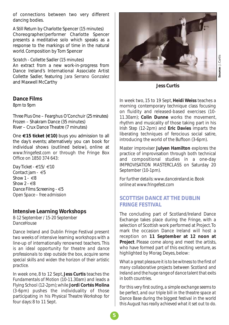of connections between two very different dancing bodies.

*A Still Return* by Charlotte Spencer (15 minutes) Choreographer/performer Charlotte Spencer presents a meditative solo which speaks as a response to the markings of time in the natural world. Composition by Tom Spencer

#### *Scratch* - Collette Sadler (15 minutes)

An extract from a new work-in-progress from Dance Ireland's International Associate Artist Collette Sadler, featuring Jara Serrano Gonzalez and Maxwell McCarthy

#### **Dance Films**

*8pm to 9pm*

*Three Plus One* – Fearghus O'Conchuir (25 minutes) *Frozen* – Shakram Dance (35 minutes) *River* – Crux Dance Theatre (7 minutes)

One **€15 ticket (€10)** buys you admission to all the day's events; alternatively you can book for individual shows (outlined below), online at *www.fringefest.com* or through the Fringe Box Office on 1850 374 643:

*Day Ticket - €15/ €10 Contact jam - €5 Show 1 - €8 Show 2 - €8 Dance Films Screening - €5 Open Space – free admission* 

#### **Intensive Learning Workshops**

*8-12 September / 15-20 September DanceHouse*

Dance Ireland and Dublin Fringe Festival present two weeks of intensive learning workshops with a line-up of internationally renowned teachers. *This is an ideal opportunity for theatre and dance professionals to step outside the box, acquire some special skills and widen the horizon of their artistic practice.*

In week one, 8 to 12 Sept, **Jess Curtis** teaches the *Fundamentals of Motion* (10-11.30am) and leads a *Flying School* (12-2pm); while **Jordi Cortés Molina** (3-6pm) pushes the individuality of those participating in his *Physical Theatre Workshop* for four days: 8 to 11 Sept.



**Jess Curtis**

In week two, 15 to 19 Sept, **Heidi Weiss** teaches a morning contemporary technique class focusing on fluidity and released-based exercises (10- 11.30am); **Colin Dunne** works the movement, rhythm and musicality of those taking part in his *Irish Step* (12-2pm) and **Eric Davies** imparts the liberating techniques of ferocious social satire, introducing the world of the *Buffoon* (3-6pm).

Master improviser **Julyen Hamilton** explores the practice of improvisation through both technical and compositional studies in a one-day IMPROVISATION MASTERCLASS on Saturday 20 September (10-1pm).

*For further details: www.danceireland.ie. Book online at www.fringefest.com*

#### **SCOTTISH DANCE AT THE DUBLIN FRINGE FESTIVAL**

The concluding part of Scotland/Ireland Dance Exchange takes place during the Fringe, with a selection of Scottish work performed at Project. To mark the occasion Dance Ireland will host a reception on **11 September at 12 noon at Project**. Please come along and meet the artists, who have formed part of this exciting venture, as highlighted by Morag Deyes, below:

*What a great pleasure it is to be witness to the first of many collaborative projects between Scotland and Ireland and the huge range of dance talent that exits in both countries.*

*For this very first outing, a simple exchange seems to be perfect, and our triple bill in the theatre space at Dance Base during the biggest festival in the world this August has really achieved what it set out to do.*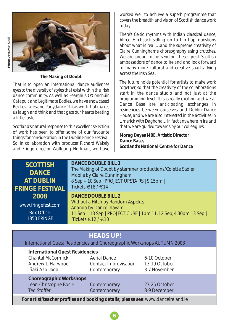



**The Making of Doubt**

*That is to open an international dance audiences eyes to the diversity of styles that exist within the Irish dance community. As well as Fearghus O'Conchúir, Catapult and Legitimate Bodies, we have showcased Rex Levitates and Ponydance. This is work that makes us laugh and think and that gets our hearts beating a little faster.*

*Scotland's natural response to this excellent selection of work has been to offer some of our favourite things for consideration in the Dublin Fringe Festival. So, in collaboration with producer Richard Wakely and Fringe director Wolfgang Hoffman, we have* *worked well to achieve a superb programme that covers the breadth and vision of Scottish dance work today.*

*There's Celtic rhythms with Indian classical dance, Alfred Hitchcock sidling up to hip hop, questions about what is real….and the supreme creativity of Claire Cunningham's choreography using crutches. We are proud to be sending these great Scottish ambassadors of dance to Ireland and look forward to many more cultural and creative sparks flying across the Irish Sea.*

*The future holds potential for artists to make work together, so that the creativity of the collaborations start in the dance studio and not just at the programming level. This is really exciting and we at Dance Base are anticipating exchanges in residencies between ourselves and Dublin Dance House, and we are also interested in the activities in Limerick with Daghdha…in fact anywhere in Ireland that we are guided towards by our colleagues.*

*Morag Deyes MBE, Artistic Director Dance Base, Scotland's National Centre for Dance*

### **SCOTTISH DANCE AT DUBLIN FRINGE FESTIVAL 2008**

www.fringefest.com Box Office: 1850 FRINGE

#### **DANCE DOUBLE BILL 1**

*The Making of Doubt* by stammer productions/Colette Sadler *Mobile* by Claire Cunningham 8 Sep – 10 Sep | PROJECT UPSTAIRS | 9.15pm | Tickets €18 / €14

#### **DANCE DOUBLE BILL 2**

*Without a Hitch* by Random Aspekts *Ananda* by Dance Ihayami 11 Sep – 13 Sep | PROJECT CUBE | 1pm 11, 12 Sep, 4.30pm 13 Sep | Tickets  $\in$  12 /  $\in$  10

### **HEADS UP!**

International Guest Residencies and Choreographic Workshops AUTUMN 2008

| <b>International Guest Residencies</b><br>Chantal McCormick<br>Andrew L. Harwood<br>Iñaki Azpillaga | Aerial Dance<br>Contact Improvisation<br>Contemporary | 6-10 October<br>13-19 October<br>3-7 November |  |  |
|-----------------------------------------------------------------------------------------------------|-------------------------------------------------------|-----------------------------------------------|--|--|
| <b>Choreographic Workshops</b><br>Jean-Christophe Bocle<br><b>Ted Stoffer</b>                       | Contemporary<br>Contemporary                          | 23-25 October<br>8-9 December                 |  |  |
| For artist/teacher profiles and booking details; please see: www.danceireland.ie                    |                                                       |                                               |  |  |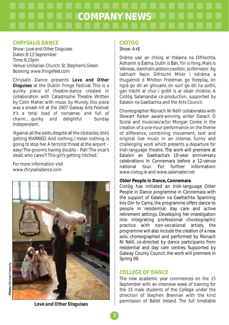# **COMPANY NEWS**

#### **CHRYSALIS DANCE**

Show: *Love and Other Disguises* Dates: 8-13 September Time: 6.15pm Venue: Unitarian Church, St. Stephen's Green Booking: www.fringefest.com

Chrysalis Dance presents *Love and Other Disguises* at the Dublin Fringe Festival. This is a quirky piece of theatre-dance created in collaboration with Catastrophe Theatre. Written by Colm Maher, with music by Mundy, this piece was a smash hit at the 2007 Galway Arts Festival: *It's a total load of nonsense, and full of charm….quirky and delightful* Sunday Independent.

'Against all the odds, despite all the obstacles, she's getting MARRIED. And nothing, I mean nothing, is going to stop her. A terrorist threat at the airport – easy! The groom's having doubts – Pah! The vicar's dead, who cares?! This girl's getting hitched.'

For more information visit www.chrysalisdance.com



**CIOTÓG** 

#### Show: *A+E*

Dráma uair an chloig ar théama na Difríochta. Ádhamh is Éabha, Dubh is Bán, Yin is Yong, Mars is Véineas, damhsóir,aisteoir,ceoltóir, scríbhneoir. Ag tabhairt faoin Difríocht Mhór i ndráma a thugaimid ó Mhilton Friedman go foreplay, ón ngrá go dtí an ghruaim, ón suirí go dtí na soithí, gan trácht ar chur i gcéill is ar obair chistine. A Ciotóg Salamandar co-production, supported by Ealaíon na Gaeltachta and the Arts Council.

Choreographer Ríonach Ní Néill collaborates with Stewart Parker award-winning writer Darach Ó Scolaí and musician/actor Morgan Cooke in the creation of a one-hour performance on the theme of difference, combining movement, text and original live music in an intense, funny and challenging work which presents a departure for Irish-language theatre. The work will premiere at Ealaíon an Gaeltacha's 10-year anniversary celebrations in Connemara before a 12-venue<br>national tour. For further information: national tour. For further information: www.ciotog.ie and www.salamader.net

#### **Older People in Dance, Connemara**

Ciotóg has initiated an Irish-language Older People in Dance programme in Connemara with the support of Ealaíon na Gaeltachta. Spanning Inis Oírr to Carna, the programme offers dance to people in residential, day care and active retirement settings. Developing her investigation into integrating professional choreographic practice with non-vocational artists, the programme will also include the creation of a new solo, choreographed and performed by Ríonach Ní Néill, co-directed by dance participants from residential and day care centres. Supported by Galway County Council, the work will premiere in Spring 09.

#### **COLLEGE OF DANCE**

The new academic year commences on the 15 September with an intensive week of training for the 15 male students of the College under the direction of Stephen Brennan with the kind permission of Ballet Ireland. The full timetable

*Love and Other Disguises*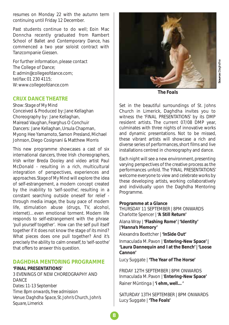resumes on Monday 22 with the autumn term continuing until Friday 12 December.

Past students continue to do well; Eoin Mac Donncha recently graduated from Rambert School of Ballet and Contemporary Dance, has commenced a two year soloist contract with Tanzcompanie Giessen.

For further information, please contact The College of Dance; E: admin@collegeofdance.com; tel/fax: 01 230 4115; W: www.collegeofdance.com

#### **CRUX DANCE THEATRE**

*Show: Stage of My Mind* Conceived & Produced by: Jane Kellaghan Choreography by: Jane Kellaghan, Mairead Vaughan, Fearghus O Conchuir Dancers: Jane Kellaghan, Ursula Chapman, Myong Hee Yamamoto, Samon Presland, Michael Johnson, Diego Cosignani & Matthew Morris

This new programme showcases a cast of six international dancers, three Irish choreographers, Irish writer Breda Dooley and video artist Paul McDonald - resulting in a rich, multicultural integration of perspectives, experiences and approaches. *Stage of My Mind* will explore the idea of self-estrangement, a modern concept created by the inability to 'self-soothe', resulting in a constant searching outside oneself for relief through media image, the busy pace of modern life, stimulation abuse (drugs, TV, alcohol, internet)…even emotional torment. Modern life responds to self-estrangement with the phrase '*pull yourself together'*. How can the self pull itself together if it does not know the stage of its mind? What pieces does one pull together? And it's precisely the ability to calm oneself, to 'self-soothe' that offers to answer this question.

#### **DAGHDHA MENTORING PROGRAMME**

#### **'FINAL PRESENTATIONS'**

3 EVENINGS OF NEW CHOREOGRAPHY AND DANCE *Dates: 11-13 September Time: 8pm onwards, free admission Venue: Daghdha Space, St. John's Church, John's Square, Limerick*



*The Foals* 

**Source**: Daghdha

Set in the beautiful surroundings of St. Johns Church in Limerick, Daghdha invites you to witness the 'FINAL PRESENTATIONS' by its DMP resident artists. The current 07/08 DMP year, culminates with three nights of innovative works and dynamic presentations. Not to be missed, these vibrant artists will showcase a rich and diverse series of performances, short films and live installations centred in choreography and dance.

Each night will see a new environment, presenting varying perspectives of the creative process as the performances unfold. The 'FINAL PRESENTATIONS' welcome everyone to view and celebrate works by these developing artists, working collaboratively and individually upon the Daghdha Mentoring Programme.

#### **Programme at a Glance**

THURSDAY 11 SEPTEMBER | 8PM ONWARDS Charlotte Spencer | **'A Still Return'**  Alana Wray | **'Flashing Rome' | 'Identity' |'Hanna's Memory'** 

Alexandra Boettcher | **'InSide Out'** 

Inmaculada M. Pavon | '**Entering-New Space' | 'Laura Dannequin and I at the Bench' | 'Loose Cannon'** 

Lucy Suggate | **'The Year of The Horse'** 

FRIDAY 12TH SEPTEMBER | 8PM ONWARDS Inmaculada M. Pavon | '**Entering-New Space'**  Rainer Müntinga | **'i ehm, well…'**

SATURDAY 13TH SEPTEMBER | 8PM ONWARDS Lucy Suggate | **'The Foals'**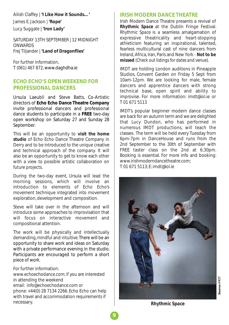Ailish Claffey | **'I Like How it Sounds…'**  James E. Jackson | **'Rope'**  Lucy Suggate | **'Iron Lady'**

SATURDAY 13TH SEPTEMBER | 12 MIDNIGHT **ONWARDS** Frej Tiljander | **'Land of Dragonflies'**

For further information, T (061) 467 872, www.daghdha.ie

#### **ECHO ECHO'S OPEN WEEKEND FOR PROFESSIONAL DANCERS**

Ursula Laeubli and Steve Batts, Co-Artistic directors of **Echo Echo Dance Theatre Company** invite professional dancers and professional dance students to participate in a **FREE** two-day open workshop on Saturday 27 and Sunday 28 September.

This will be an opportunity to **visit the home studio** of Echo Echo Dance Theatre Company in Derry and to be introduced to the unique creative and technical approach of the company. It will also be an opportunity to get to know each other with a view to possible artistic collaboration on future projects.

During the two-day event, Ursula will lead the morning sessions, which will involve an introduction to elements of Echo Echo's movement technique integrated into movement exploration, development and composition.

Steve will take over in the afternoon and will introduce some approaches to improvisation that will focus on interactive movement and compositional attention.

The work will be physically and intellectually demanding, mindful and intuitive.There will be an opportunity to share work and ideas on Saturday with a private performance evening in the studio. Participants are encouraged to perform a short piece of work.

For further information:

www.echoechodance.com; if you are interested in attending the weekend email: info@echoechodance.com or phone: +44(0) 28 7134 2266. Echo Echo can help with travel and accommodation requirements if necessary.

#### **IRISH MODERN DANCE THEATRE**

Irish Modern Dance Theatre presents a revival of *Rhythmic Space* at the Dublin Fringe Festival. *Rhythmic Space* is a seamless amalgamation of expressive theatricality and heart-stopping athleticism featuring an inspirational, talented, fearless multicultural cast of nine dancers from Ireland, Africa, Iran, Paris and New York - **Not to be missed** (*Check out listings for dates and venue).*

IMDT are holding London auditions in Pineapple Studios, Convent Garden on Friday 5 Sept from 10am-12pm. We are looking for male, female dancers and apprentice dancers with strong technical base, open spirit and ability to improvise. For more information: imdt@iol.ie or T 01 671 5113

IMDT's popular beginner modern dance classes are back for an autumn term and we are delighted that Lucy Dundon, who has performed in numerous IMDT productions, will teach the classes. The term will be held every Tuesday from 6pm-7pm in DanceHouse and runs from the 2nd September to the 30th of September with FREE taster class on the 2nd at 6.30pm. Booking is essential. For more info and booking: www.irishmoderndancetheatre.com;

T 01 671 5113; E: imdt@iol.ie



*Rhythmic Space*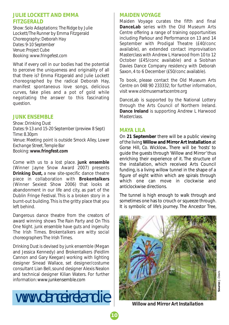#### **JULIE LOCKETT AND EMMA FITZGERALD**

*Show: Solo Adaptations: The Ridge* by Julie Lockett/*The Runner* by Emma Fitzgerald *Choreography: Deborah Hay Dates: 9-10 September Venue: Project Cube Booking: www.fringefest.com*

What if every cell in our bodies had the potential to perceive the uniqueness and originality of all that there is? Emma Fitzgerald and Julie Lockett choreographed by the radical Deborah Hay, manifest spontaneous love songs, delicious curves, fake plies and a pot of gold while negotiating the answer to this fascinating question.

#### **JUNK ENSEMBLE**

*Show: Drinking Dust Dates: 9-13 and 15-20 September (preview 8 Sept) Time: 8.30pm Venue: Meeting point is outside Smock Alley, Lower Exchange Street, Temple Bar Booking: www.fringfest.com*

Come with us to a lost place. **junk ensemble** (Winner Jayne Snow Award 2007) presents *Drinking Dust*, a new site-specific dance theatre piece in collaboration with **Brokentalkers** (Winner Sexiest Show 2006) that looks at abandonment in our life and city, as part of the Dublin Fringe Festival. This is a broken story in a burnt-out building. This is the gritty place that you left behind.

Dangerous dance theatre from the creators of award winning shows *The Rain Party* and *On This One Night*. *junk ensemble have guts and ingenuity* The Irish Times. *Brokentalkers are witty social choreographers* The Irish Times.

*Drinking Dust* is devised by junk ensemble (Megan and Jessica Kennedy) and Brokentalkers (Feidlim Cannon and Gary Keegan) working with lighting designer Sinead Wallace, set designer/costume consultant Lian Bell, sound designer Alexis Nealon and technical designer Kilian Waters. For further information: www.junkensemble.com

# www.danceireland.ie

#### **MAIDEN VOYAGE**

Maiden Voyage curates the fifth and final **DanceLab** series with the Old Museum Arts Centre offering a range of training opportunities including Parkour and Performance on 13 and 14 September with Prodigal Theatre (£40/conc available), an extended contact improvisation Masterclass with Andrew L Harwood from 10 to 12 October (£45/conc available) and a Siobhan Davies Dance Company residency with Deborah Saxon, 4 to 6 December (£50/conc available).

To book, please contact the Old Museum Arts Centre on 048 90 233332; for further information, visit www.oldmusemartscentre.org

DanceLab is supported by the National Lottery through the Arts Council of Northern Ireland. **Dance Ireland** is supporting Andrew L Harwood Masterclass.

#### **MAYA LILA**

**10**

On **21 September** there will be a public viewing of the living**Willow and Mirror Art Installation** at Gorse Hill, Co. Wicklow**.** There will be 'hosts' to guide the guests through 'Willow and Mirror' thus enriching their experience of it. The structure of the installation, which received Arts Council funding, is a living willow tunnel in the shape of a figure of eight within which are spirals through which one can move in clockwise and anticlockwise directions.

The tunnel is high enough to walk through and sometimes one has to crouch or squeeze through. It is symbolic of life's journey. The Ancestor Tree,



*Willow and Mirror Art Installation*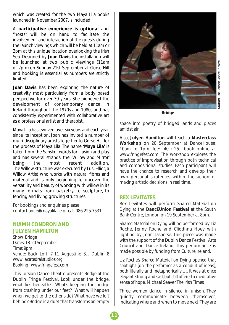which was created for the two Maya Lila books launched in November 2007, is included.

A **participative experience is optional** and "hosts" will be on hand to facilitate the involvement and interaction of the guests during the launch viewings which will be held at 11am or 2pm at this unique location overlooking the Irish Sea. Designed by **Joan Davis** the installation will be launched at two public viewings (11am or 2pm) on Sunday 21st September at Gorse Hill and booking is essential as numbers are strictly limited.

**Joan Davis** has been exploring the nature of creativity most particularly from a body based perspective for over 30 years. She pioneered the development of contemporary dance in Ireland throughout the 1970s and 1980s and has consistently experimented with collaborative art as a professional artist and therapist.

Maya Lila has evolved over six years and each year, since its inception, Joan has invited a number of multi-disciplinary artists together to Gorse Hill for the process of Maya Lila. The name **'Maya Lila'** is taken from the *Sanskrit* words for *illusion* and *play* and has several strands, the *'*Willow and Mirror' being the most recent addition*.* The Willow structure was executed by Lusi Elliot, a Willow Artist who works with natural fibres and material and is only beginning to uncover the versatility and beauty of working with willow in its many formats from basketry, to sculpture, to fencing and living growing structures.

For bookings and enquiries please contact aoife@mayalila.ie or call 086 225 7531.

#### **NIAMH CONDRON AND JULYEN HAMILTON**

*Show: Bridge Dates: 18-20 September Time: 9pm Venue: Back Loft, 7-11 Augustine St., Dublin 8 www.lacatedralstudios.org Booking: www.fringefest.com*

This Torsion Dance Theatre presents *Bridge* at the Dublin Fringe Festival. Look under the bridge, what lies beneath? What's keeping the bridge from crashing under our feet? What will happen when we get to the other side? What have we left behind? Bridge is a duet that transforms an empty



ource: The Torison Dance Theatre **Source:** The Torison Dance Theatre

*Bridge*

space into poetry of bridged lands and places amidst air.

Also, **Julyen Hamilton** will teach a **Masterclass Workshop** on 20 September at DanceHouse; 10am to 1pm; fee: 40 ( 25); book online at www.fringefest.com. The workshop explores the practice of improvisation through both technical and compositional studies. Each participant will have the chance to research and develop their own personal strategies within the action of making artistic decisions in real time.

#### **REX LEVITATES**

Rex Levitates will perform *Shared Material on Dying* at the **DancEUnion Festival** at the South Bank Centre, London on 19 September at 8pm.

*Shared Material on Dying* will be performed by Liz Roche, Jenny Roche and Cliodhna Hoey with lighting by John Jasperse. This piece was made with the support of the Dublin Dance Festival, Arts Council and Dance Ireland. This performance is made possible by funding from Culture Ireland.

*Liz Roche's Shared Material on Dying opened that spotlight [on the performer as a conduit of ideas], both literally and metaphorically….. It was at once elegant, strong and sad, but still offered a meditative sense of hope.* Michael Seaver *The Irish Times*

Three women dance in silence, in unison. They quietly communicate between themselves, indicating where and when to move next. They are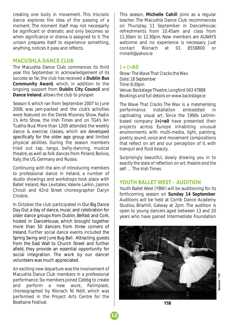creating one body in movement. This trio/solo dance explores the idea of the passing of a moment. The moment itself may not necessarily be significant or dramatic and only becomes so when significance or drama is assigned to it. The unison prepares itself to experience something, anything, notices it pass and reflects.

#### **MACUSHLA DANCE CLUB**

The Macushla Dance Club commences its third year this September. In acknowledgement of its success so far, the club has received a **Dublin Bus Community Award**, which, in addition to the ongoing support from **Dublin City Council** and **Dance Ireland**, allows the club to prosper.

Season II, which ran from September 2007 to June 2008, was jam-packed and the club's activities were featured on the Derek Mooney Show, Radio 1's Arts Show, the Irish Times and on TG4's 'An Tuatha Nua'. More than 1200 attended the weekly dance & exercise classes, which are developed specifically for the older age group and limited physical abilities. During the season members tried out tap, tango, belly-dancing, musical theatre, as well as folk dances from Poland, Bolivia, Italy, the US, Germany and Russia.

Continuing with the aim of introducing members to professional dance in Ireland, a number of studio showings and workshops took place with Ballet Ireland, Rex Levitates, Valerie Larkin, Jasmin Chiodi and *42nd Street* choreographer Daryn Crosbie.

In October, the club participated in *Our Big Dance Day Out*, a day of dance, music and celebration for older dance groups from Dublin, Belfast and Cork, hosted in DanceHouse, which brought together more than 50 dancers from three corners of Ireland. Further social dance events included the *Spring Swing* and *June Bug Ball*. Attracting guests from the East Wall to Church Street and further afield, they provide an essential opportunity for social integration. The work by our dancer volunteers was much appreciated.

An exciting new departure was the involvement of Macushla Dance Club members in a professional performance. Six members joined Ciotóg to create and perform a new work, *Palimpsest,* choreographed by Ríonach Ní Néill, which was performed in the Project Arts Centre for the Bealtaine Festival.

This season, **Michelle Cahill** joins as a regular teacher. The Macushla Dance Club recommences on Thursday, 11 September in DanceHouse; refreshments from 10.45am and class from 11.30am to 12.30pm. New members are ALWAYS welcome and no experience is necessary. Just contact Ríonach at 01 8558800 or rnineill@yahoo.ie

#### **) + (=A0**

*Show: The Wave That Cracks the Wax Date: 18 September Time: 8:30pm Venue: Backstage Theatre, Longford 043 47888 Bookings and full details on www.backstage.ie*

*The Wave That Cracks The Wax* is a mesmerising performance installation embedded in captivating visual art. Since the 1990s Leitrimbased company **)+(=a0** have presented their projects across Europe inhabiting unusual environments with multi-media, light, painting, poetry, sound, voice and movement compositions that reflect on art and our perception of it, with tranquil and fluid beauty.

*Surprisingly beautiful, slowly drawing you in to exactly the state of reflection on art, theatre and the self …* The Irish Times

#### **YOUTH BALLET WEST – AUDITION**

Youth Ballet West (YBW) will be auditioning for its forthcoming season on **Sunday 14 September**. Auditions will be held at Corrib Dance Academy Studios, Briarhill, Galway at 2pm. The audition is open to young dancers aged between 13 and 20 years who have gained Intermediate Foundation



*YSB*

**Source:** YSBsource: YSB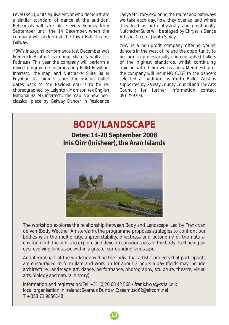Level (RAD), or its equivalent, or who demonstrate a similar standard of dance at the audition. Rehearsals will take place every Sunday from September until the 14 December, when the company will perform at the Town Hall Theatre, Galway.

YBW's inaugural performance last December was Frederick Ashton's stunning skater's waltz *Les Patineurs*. This year the company will perform a mixed programme incorporating *Ballet Egyptian*, *Intersect…the map*, and *Nutcracker Suite*. *Ballet Egyptian*, to Luigini's score (the original ballet dates back to the Pavlova era) is to be rechoreographed by Leighton Morrison (ex English National Ballet). *Intersect…the map* is a new neoclassical piece by Galway Dancer in Residence Tanya McCrory, exploring the routes and pathways we take each day, how they overlap, and where they lead us both physically and emotionally. *Nutcracker Suite* will be staged by Chrysalis Dance Artistic Director Judith Sibley.

YBW is a non-profit company offering young dancers in the west of Ireland the opportunity to perform in professionally choreographed ballets of the highest standards, whilst continuing training with their own teachers. Membership of the company will incur NO COST to the dancers selected at audition, as Youth Ballet West is supported by Galway County Council and The Arts Council; for further information contact 091 799703.

#### **BODY/LANDSCAPE Body/Landbooth**

**Dates: 14-20 September 2008 Inis Oirr (Inisheer), the Aran Islands** 



de Ven (Body Weather Amsterdam), the programme proposes strategies to confront our environment. The aim is to explore and develop consciousness of the body itself being an The workshop explores the relationship between Body and Landscape. Led by Frank van bodies with the multiplicity, unpredictability, directness and autonomy of the natural ever evolving landscape within a greater surrounding landscape.

An integral part of the workshop will be the individual artistic projects that participants are encouraged to formulate and work on for about 2 hours a day (fields may include architecture, landscape art, dance, performance, photography, sculpture, theatre, visual boarts, biology and natural history). The plants and a wealth of breathtaking and a wealth of breathtaking and a wealth of breathtaking and a wealth of breathtaking and a wealth of breathtaking and a wealth of breathtaking

Information and registration: Tel: +31 (0)20 68 42 568 / frank.bwa@xs4all.nll; local organisation in Ireland: Seamus Dunbar E: seamusd62@eircom.net documentary on the life of the Island people by American director Robert Flaherty. T + 353 71 9856148During the workshop will visit the will visit the other Aran Islands.

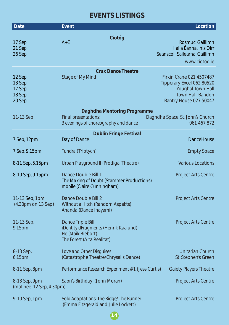# **EVENTS LISTINGS**

| <b>Date</b>                                    | <b>Event</b>                                                                                                 | Location                                                                                                                                |
|------------------------------------------------|--------------------------------------------------------------------------------------------------------------|-----------------------------------------------------------------------------------------------------------------------------------------|
| 17 Sep<br>21 Sep<br>26 Sep                     | Ciotóg<br>$A+E$                                                                                              | Rosmuc, Gaillimh<br>Halla Éanna, Inis Oírr<br>Seanscoil Sailearna, Gaillimh<br>www.ciotog.ie                                            |
| 12 Sep<br>13 Sep<br>17 Sep<br>18 Sep<br>20 Sep | <b>Crux Dance Theatre</b><br><b>Stage of My Mind</b>                                                         | <b>Firkin Crane 021 4507487</b><br>Tipperary Excel 062 80520<br><b>Youghal Town Hall</b><br>Town Hall, Bandon<br>Bantry House 027 50047 |
| 11-13 Sep                                      | Daghdha Mentoring Programme<br>Final presentations:<br>3 evenings of choreography and dance                  | Daghdha Space, St. John's Church<br>061 467 872                                                                                         |
| 7 Sep, 12pm                                    | <b>Dublin Fringe Festival</b><br>Day of Dance                                                                | <b>DanceHouse</b>                                                                                                                       |
| 7 Sep, 9.15pm                                  | Tundra (Triptych)                                                                                            | <b>Empty Space</b>                                                                                                                      |
| 8-11 Sep, 5.15pm                               | Urban Playground II (Prodigal Theatre)                                                                       | <b>Various Locations</b>                                                                                                                |
| 8-10 Sep, 9.15pm                               | Dance Double Bill 1<br>The Making of Doubt (Stammer Productions)<br>mobile (Claire Cunningham)               | <b>Project Arts Centre</b>                                                                                                              |
| 11-13 Sep, 1pm<br>(4.30pm on 13 Sep)           | Dance Double Bill 2<br>Without a Hitch (Random Aspekts)<br>Ananda (Dance Ihayami)                            | <b>Project Arts Centre</b>                                                                                                              |
| 11-13 Sep,<br>9.15pm                           | Dance Triple Bill<br>iDentity dFragments (Henrik Kaalund)<br>He (Maik Riebort)<br>The Forest (Alta Realitat) | <b>Project Arts Centre</b>                                                                                                              |
| 8-13 Sep,<br>6.15pm                            | Love and Other Disguises<br>(Catastrophe Theatre/Chrysalis Dance)                                            | <b>Unitarian Church</b><br>St. Stephen's Green                                                                                          |
| 8-11 Sep, 8pm                                  | Performance Research Experiment # 1 (Jess Curtis)                                                            | <b>Gaiety Players Theatre</b>                                                                                                           |
| 8-13 Sep, 9pm<br>(matinee: 12 Sep, 4.30pm)     | Saori's Birthday! (John Moran)                                                                               | <b>Project Arts Centre</b>                                                                                                              |
| 9-10 Sep, 1pm                                  | Solo Adaptations: The Ridge/ The Runner<br>(Emma Fitzgerald and Julie Lockett)                               | <b>Project Arts Centre</b>                                                                                                              |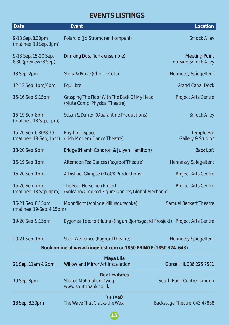### **EVENTS LISTINGS**

| <b>Date</b>                                                     | <b>Event</b>                                                                   | <b>Location</b>                             |  |  |
|-----------------------------------------------------------------|--------------------------------------------------------------------------------|---------------------------------------------|--|--|
| 9-13 Sep, 8.30pm<br>(matinee: 13 Sep, 3pm)                      | Polaroid (Jo Stromgren Kompani)                                                | <b>Smock Alley</b>                          |  |  |
| 9-13 Sep, 15-20 Sep,<br>8.30 (preview: 8 Sep)                   | Drinking Dust (junk ensemble)                                                  | <b>Meeting Point</b><br>outside Smock Alley |  |  |
| 13 Sep, 2pm                                                     | Show & Prove (Choice Cuts)                                                     | <b>Hennessy Spiegeltent</b>                 |  |  |
| 12-13 Sep, 1pm/6pm                                              | Equilibre                                                                      | <b>Grand Canal Dock</b>                     |  |  |
| 15-16 Sep, 9.15pm                                               | Grasping The Floor With The Back Of My Head<br>(Mute Comp. Physical Theatre)   | <b>Project Arts Centre</b>                  |  |  |
| 15-19 Sep, 8pm<br>(matinee: 18 Sep, 1pm)                        | Susan & Darren (Quarantine Productions)                                        | <b>Smock Alley</b>                          |  |  |
| 15-20 Sep, 6.30/8.30<br>(matinee: 18-Sep, 1pm)                  | <b>Rhythmic Space</b><br>(Irish Modern Dance Theatre)                          | Temple Bar<br><b>Gallery &amp; Studios</b>  |  |  |
| 18-20 Sep, 9pm                                                  | Bridge (Niamh Condron & Julyen Hamilton)                                       | <b>Back Loft</b>                            |  |  |
| 16-19 Sep, 1pm                                                  | Afternoon Tea Dances (Ragroof Theatre)                                         | <b>Hennessy Spiegeltent</b>                 |  |  |
| 16-20 Sep, 1pm                                                  | A Distinct Glimpse (KLoCK Productions)                                         | <b>Project Arts Centre</b>                  |  |  |
| 16-20 Sep, 7pm<br>(matinee: 18 Sep, 4pm)                        | The Four Horsemen Project<br>(Volcano/Crooked Figure Dances/Global Mechanic)   | <b>Project Arts Centre</b>                  |  |  |
| 16-21 Sep, 8.15pm<br>(matinee: 19-Sep, 4.15pm)                  | Moonflight (schindelkilliusdutschke)                                           | <b>Samuel Beckett Theatre</b>               |  |  |
| 19-20 Sep, 9.15pm                                               | Bygones (I det fortflutna) (Ingun Bjornsgaard Prosjekt) Project Arts Centre    |                                             |  |  |
| 20-21 Sep, 1pm                                                  | Shall We Dance (Ragroof theatre)                                               | <b>Hennessy Spiegeltent</b>                 |  |  |
| Book online at www.fringefest.com or 1850 FRINGE (1850 374 643) |                                                                                |                                             |  |  |
| 21 Sep, 11am & 2pm                                              | <b>Maya Lila</b><br>Willow and Mirror Art Installation                         | Gorse Hill, 086 225 7531                    |  |  |
| 19 Sep, 8pm                                                     | <b>Rex Levitates</b><br><b>Shared Material on Dying</b><br>www.southbank.co.uk | South Bank Centre, London                   |  |  |
| 18 Sep, 8.30pm                                                  | $) + (=a0)$<br>The Wave That Cracks the Wax                                    | Backstage Theatre, 043 47888                |  |  |